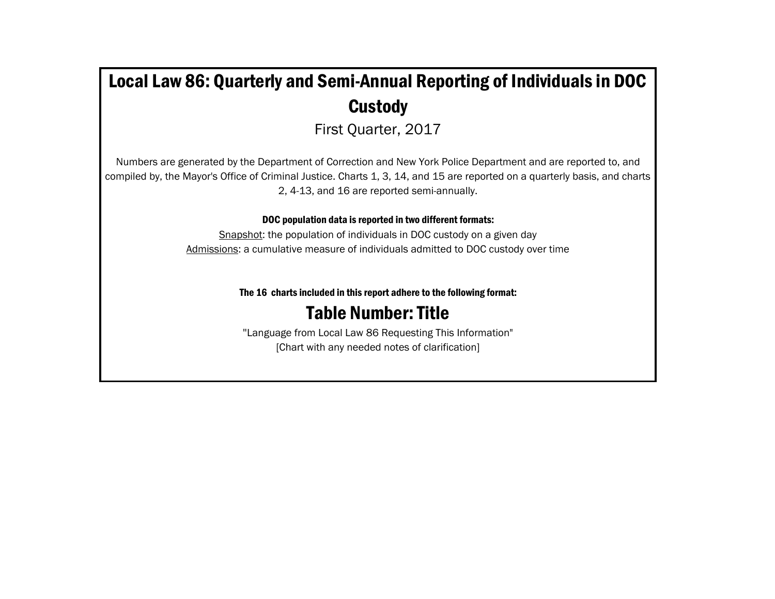# Local Law 86: Quarterly and Semi-Annual Reporting of Individuals in DOC **Custody**

First Quarter, 2017

Numbers are generated by the Department of Correction and New York Police Department and are reported to, and compiled by, the Mayor's Office of Criminal Justice. Charts 1, 3, 14, and 15 are reported on a quarterly basis, and charts 2, 4-13, and 16 are reported semi-annually.

DOC population data is reported in two different formats:

Snapshot: the population of individuals in DOC custody on a given day Admissions: a cumulative measure of individuals admitted to DOC custody over time

The 16 charts included in this report adhere to the following format:

## Table Number: Title

"Language from Local Law 86 Requesting This Information" [Chart with any needed notes of clarification]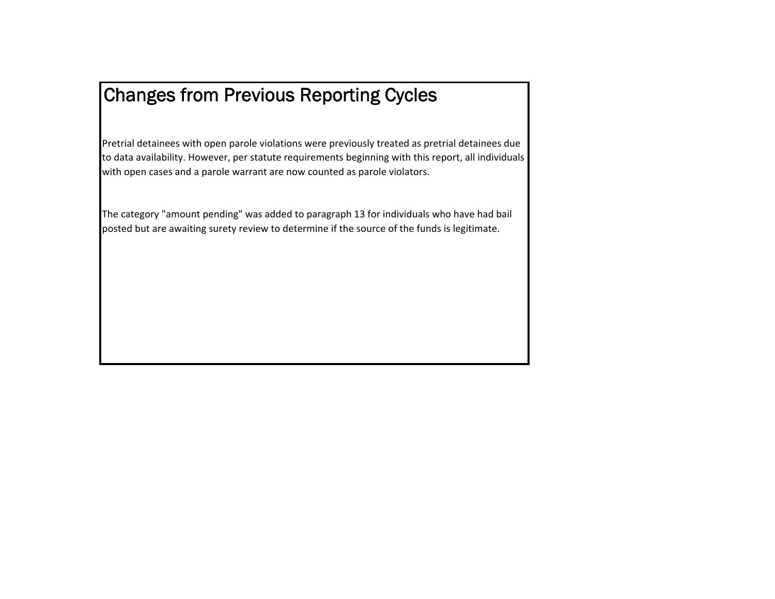## Changes from Previous Reporting Cycles

Pretrial detainees with open parole violations were previously treated as pretrial detainees due to data availability. However, per statute requirements beginning with this report, all individuals with open cases and <sup>a</sup> parole warrant are now counted as parole violators.

The category "amount pending" was added to paragraph 13 for individuals who have had bail posted but are awaiting surety review to determine if the source of the funds is legitimate.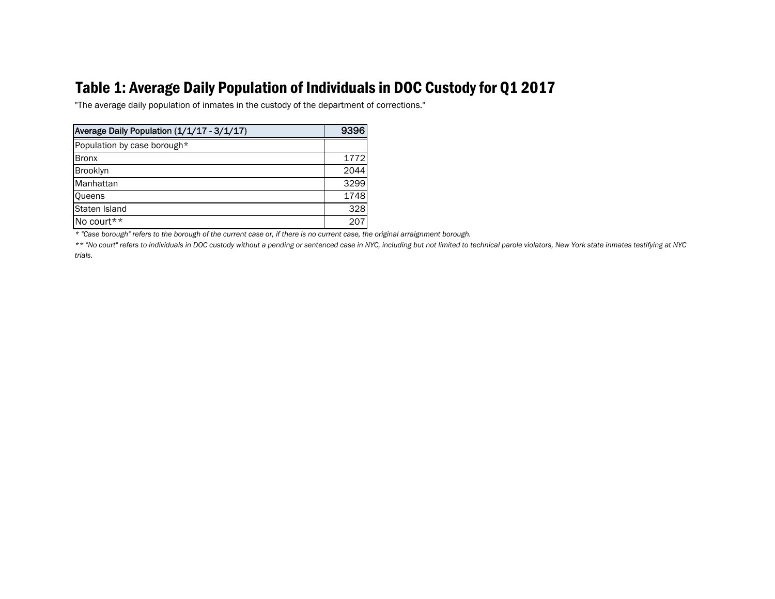## Table 1: Average Daily Population of Individuals in DOC Custody for Q1 2017

"The average daily population of inmates in the custody of the department of corrections."

| Average Daily Population (1/1/17 - 3/1/17) | 9396 |
|--------------------------------------------|------|
| Population by case borough*                |      |
| <b>Bronx</b>                               | 1772 |
| <b>Brooklyn</b>                            | 2044 |
| Manhattan                                  | 3299 |
| <b>Queens</b>                              | 1748 |
| Staten Island                              | 328  |
| No court**                                 | 207  |

*\* "Case borough" refers to the borough of the current case or, if there is no current case, the original arraignment borough.*

*\*\* "No court" refers to individuals in DOC custody without a pending or sentenced case in NYC, including but not limited to technical parole violators, New York state inmates testifying at NYC trials.*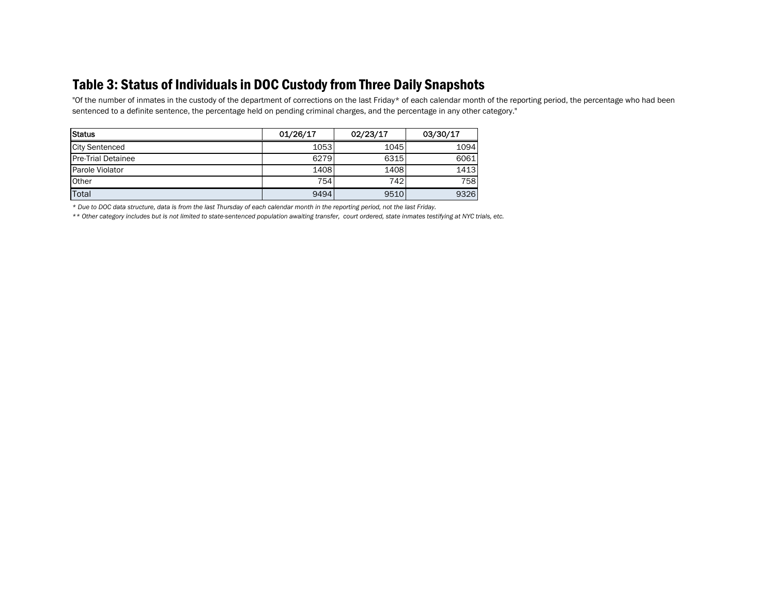### Table 3: Status of Individuals in DOC Custody from Three Daily Snapshots

"Of the number of inmates in the custody of the department of corrections on the last Friday\* of each calendar month of the reporting period, the percentage who had been sentenced to a definite sentence, the percentage held on pending criminal charges, and the percentage in any other category."

| Status                    | 01/26/17 | 02/23/17 | 03/30/17 |
|---------------------------|----------|----------|----------|
| <b>City Sentenced</b>     | 1053     | 1045     | 1094     |
| <b>Pre-Trial Detainee</b> | 6279     | 6315     | 6061     |
| Parole Violator           | 1408     | 1408     | 1413     |
| <b>Other</b>              | 754      | 742      | 758      |
| Total                     | 9494     | 9510     | 9326     |

*\* Due to DOC data structure, data is from the last Thursday of each calendar month in the reporting period, not the last Friday.*

*\*\* Other category includes but is not limited to state-sentenced population awaiting transfer, court ordered, state inmates testifying at NYC trials, etc.*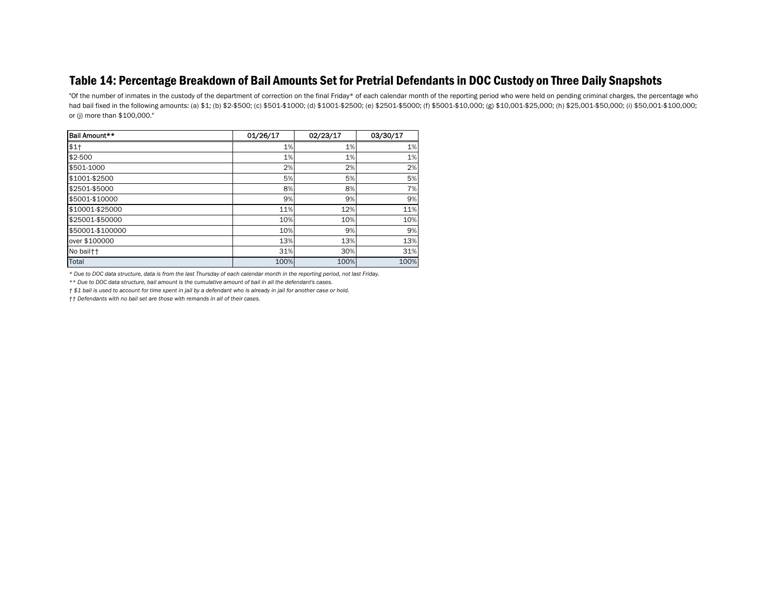#### Table 14: Percentage Breakdown of Bail Amounts Set for Pretrial Defendants in DOC Custody on Three Daily Snapshots

"Of the number of inmates in the custody of the department of correction on the final Friday\* of each calendar month of the reporting period who were held on pending criminal charges, the percentage who had bail fixed in the following amounts: (a) \$1; (b) \$2-\$500; (c) \$501-\$1000; (d) \$1001-\$2500; (e) \$2501-\$5000; (f) \$5001-\$10,000; (g) \$10,001-\$25,000; (h) \$25,001-\$50,000; (i) \$50,001-\$100,000; or (j) more than \$100,000."

| Bail Amount**    | 01/26/17 | 02/23/17 | 03/30/17 |
|------------------|----------|----------|----------|
| $$1+$            | 1%       | 1%       | 1%       |
| \$2-500          | 1%       | 1%       | 1%       |
| \$501-1000       | 2%       | 2%       | 2%       |
| \$1001-\$2500    | 5%       | 5%       | 5%       |
| \$2501-\$5000    | 8%       | 8%       | 7%       |
| \$5001-\$10000   | 9%       | 9%       | 9%       |
| \$10001-\$25000  | 11%      | 12%      | 11%      |
| \$25001-\$50000  | 10%      | 10%      | 10%      |
| \$50001-\$100000 | 10%      | 9%       | 9%       |
| over \$100000    | 13%      | 13%      | 13%      |
| No bail††        | 31%      | 30%      | 31%      |
| Total            | 100%     | 100%     | 100%     |

*\* Due to DOC data structure, data is from the last Thursday of each calendar month in the reporting period, not last Friday.*

*\*\* Due to DOC data structure, bail amount is the cumulative amount of bail in all the defendant's cases.*

*† \$1 bail is used to account for time spent in jail by a defendant who is already in jail for another case or hold.*

*†† Defendants with no bail set are those with remands in all of their cases.*